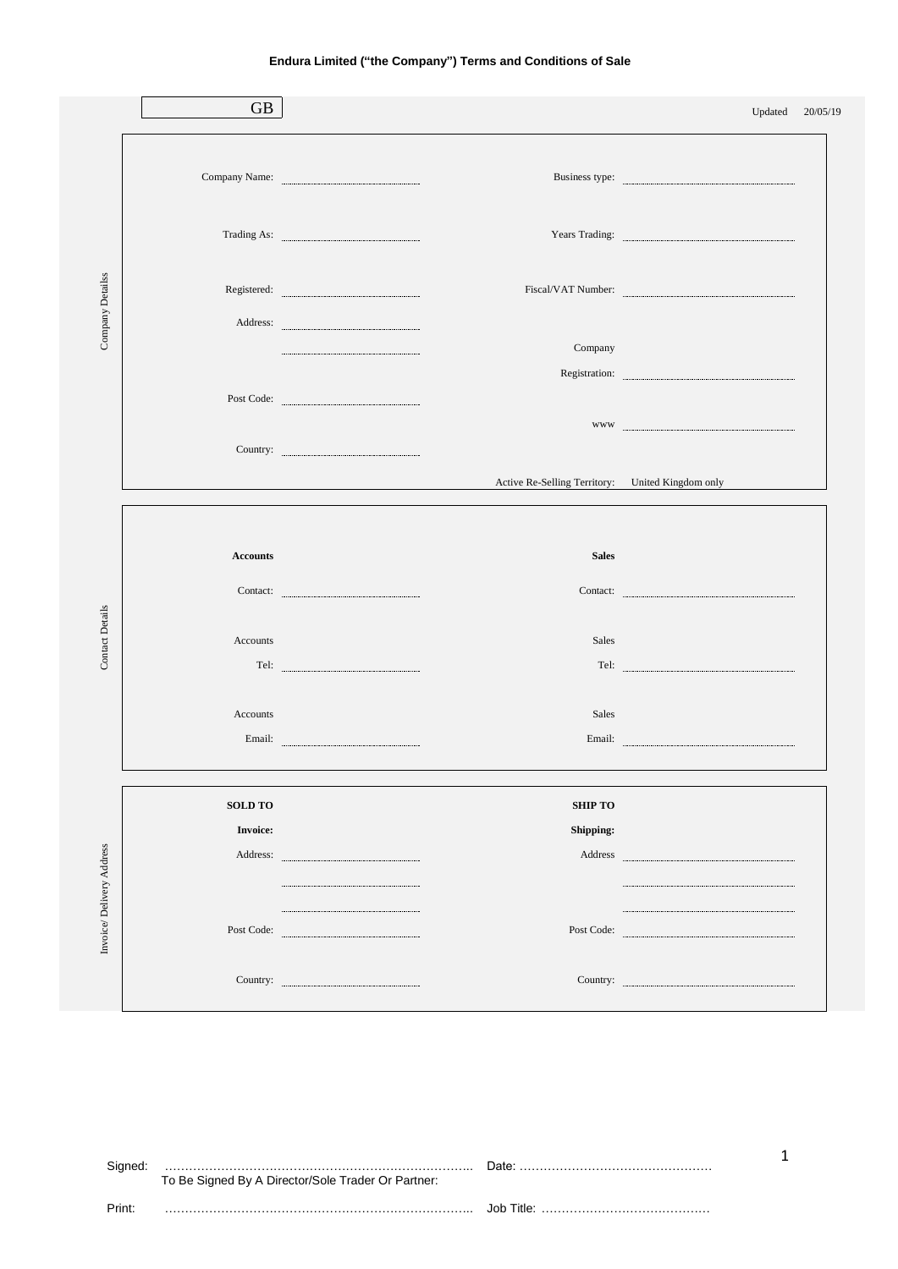|                          | <b>GB</b>       |                                                                                                                                                                                                                                                                                                                                                                                                                                                                                                                                                                               |                | Updated 20/05/19                                                                                                                                                                                                                                                                                                                                                                                                                                                               |  |
|--------------------------|-----------------|-------------------------------------------------------------------------------------------------------------------------------------------------------------------------------------------------------------------------------------------------------------------------------------------------------------------------------------------------------------------------------------------------------------------------------------------------------------------------------------------------------------------------------------------------------------------------------|----------------|--------------------------------------------------------------------------------------------------------------------------------------------------------------------------------------------------------------------------------------------------------------------------------------------------------------------------------------------------------------------------------------------------------------------------------------------------------------------------------|--|
| Company Detailss         |                 |                                                                                                                                                                                                                                                                                                                                                                                                                                                                                                                                                                               |                |                                                                                                                                                                                                                                                                                                                                                                                                                                                                                |  |
|                          |                 | Company Name: Example 2014                                                                                                                                                                                                                                                                                                                                                                                                                                                                                                                                                    |                |                                                                                                                                                                                                                                                                                                                                                                                                                                                                                |  |
|                          |                 |                                                                                                                                                                                                                                                                                                                                                                                                                                                                                                                                                                               |                |                                                                                                                                                                                                                                                                                                                                                                                                                                                                                |  |
|                          |                 |                                                                                                                                                                                                                                                                                                                                                                                                                                                                                                                                                                               |                |                                                                                                                                                                                                                                                                                                                                                                                                                                                                                |  |
|                          |                 | $\begin{minipage}{.4\linewidth} Address: \end{minipage}$                                                                                                                                                                                                                                                                                                                                                                                                                                                                                                                      |                |                                                                                                                                                                                                                                                                                                                                                                                                                                                                                |  |
|                          |                 |                                                                                                                                                                                                                                                                                                                                                                                                                                                                                                                                                                               | Company        |                                                                                                                                                                                                                                                                                                                                                                                                                                                                                |  |
|                          |                 |                                                                                                                                                                                                                                                                                                                                                                                                                                                                                                                                                                               |                | $\begin{minipage}{0.5\textwidth} \centering \begin{tabular}{p{0.8cm}p{0.8cm}p{0.8cm}} \hline \textbf{WW} & \textbf{0.9cm}\end{tabular} \end{minipage} \end{minipage} \begin{minipage}{0.5\textwidth} \centering \begin{tabular}{p{0.8cm}p{0.8cm}} \hline \textbf{WW} & \textbf{0.9cm}\end{tabular} \end{minipage} \end{minipage} \caption{Example of \textit{W-WW}} \begin{minipage}{0.5\textwidth} \centering \begin{tabular}{p{0.8cm}p{0.8cm}} \hline \textbf{WW} & \textbf$ |  |
|                          |                 | $\begin{minipage}{.4\linewidth} \textbf{Country:} \end{minipage}$                                                                                                                                                                                                                                                                                                                                                                                                                                                                                                             |                |                                                                                                                                                                                                                                                                                                                                                                                                                                                                                |  |
|                          |                 |                                                                                                                                                                                                                                                                                                                                                                                                                                                                                                                                                                               |                | Active Re-Selling Territory: United Kingdom only                                                                                                                                                                                                                                                                                                                                                                                                                               |  |
|                          |                 |                                                                                                                                                                                                                                                                                                                                                                                                                                                                                                                                                                               |                |                                                                                                                                                                                                                                                                                                                                                                                                                                                                                |  |
|                          | <b>Accounts</b> |                                                                                                                                                                                                                                                                                                                                                                                                                                                                                                                                                                               | <b>Sales</b>   |                                                                                                                                                                                                                                                                                                                                                                                                                                                                                |  |
|                          |                 | Contact:                                                                                                                                                                                                                                                                                                                                                                                                                                                                                                                                                                      |                | Contact:                                                                                                                                                                                                                                                                                                                                                                                                                                                                       |  |
| <b>Contact Details</b>   | Accounts        |                                                                                                                                                                                                                                                                                                                                                                                                                                                                                                                                                                               | Sales          |                                                                                                                                                                                                                                                                                                                                                                                                                                                                                |  |
|                          |                 |                                                                                                                                                                                                                                                                                                                                                                                                                                                                                                                                                                               |                | $\begin{minipage}{.4\linewidth} \textbf{Tel:} \end{minipage}$                                                                                                                                                                                                                                                                                                                                                                                                                  |  |
|                          | Accounts        |                                                                                                                                                                                                                                                                                                                                                                                                                                                                                                                                                                               | Sales          |                                                                                                                                                                                                                                                                                                                                                                                                                                                                                |  |
|                          |                 | $\noindent \textbf{Email:} \quad \textcolor{blue}{\textbf{Email:} \quad \textcolor{blue}{\textbf{untrivial} \quad \textbf{untrivial} \quad \textbf{untrivial} \quad \textbf{untrivial} \quad \textbf{untrivial} \quad \textbf{untrivial} \quad \textbf{untrivial} \quad \textbf{untrivial} \quad \textbf{untrivial} \quad \textbf{untrivial} \quad \textbf{untrivial} \quad \textbf{untrivial} \quad \textbf{untrivial} \quad \textbf{untrivial} \quad \textbf{untrivial} \quad \textbf{untrivial} \quad \textbf{untrivial} \quad \textbf{untrivial} \quad \textbf{untrivial$ |                |                                                                                                                                                                                                                                                                                                                                                                                                                                                                                |  |
|                          | <b>SOLD TO</b>  |                                                                                                                                                                                                                                                                                                                                                                                                                                                                                                                                                                               | <b>SHIP TO</b> |                                                                                                                                                                                                                                                                                                                                                                                                                                                                                |  |
|                          | <b>Invoice:</b> |                                                                                                                                                                                                                                                                                                                                                                                                                                                                                                                                                                               | Shipping:      |                                                                                                                                                                                                                                                                                                                                                                                                                                                                                |  |
| Invoice/Delivery Address |                 |                                                                                                                                                                                                                                                                                                                                                                                                                                                                                                                                                                               |                |                                                                                                                                                                                                                                                                                                                                                                                                                                                                                |  |
|                          |                 |                                                                                                                                                                                                                                                                                                                                                                                                                                                                                                                                                                               |                |                                                                                                                                                                                                                                                                                                                                                                                                                                                                                |  |
|                          |                 | Post Code:                                                                                                                                                                                                                                                                                                                                                                                                                                                                                                                                                                    |                |                                                                                                                                                                                                                                                                                                                                                                                                                                                                                |  |
|                          |                 | Country: <u>www.country: www.communications.communications.communications.com</u>                                                                                                                                                                                                                                                                                                                                                                                                                                                                                             |                | $\begin{minipage}{.4\linewidth} \textbf{Country:} \end{minipage}$                                                                                                                                                                                                                                                                                                                                                                                                              |  |
|                          |                 |                                                                                                                                                                                                                                                                                                                                                                                                                                                                                                                                                                               |                |                                                                                                                                                                                                                                                                                                                                                                                                                                                                                |  |

Signed: ………………………………………………………………….. Date: ………………………………………… To Be Signed By A Director/Sole Trader Or Partner: Print: ………………………………………………………………….. Job Title: ……………………………………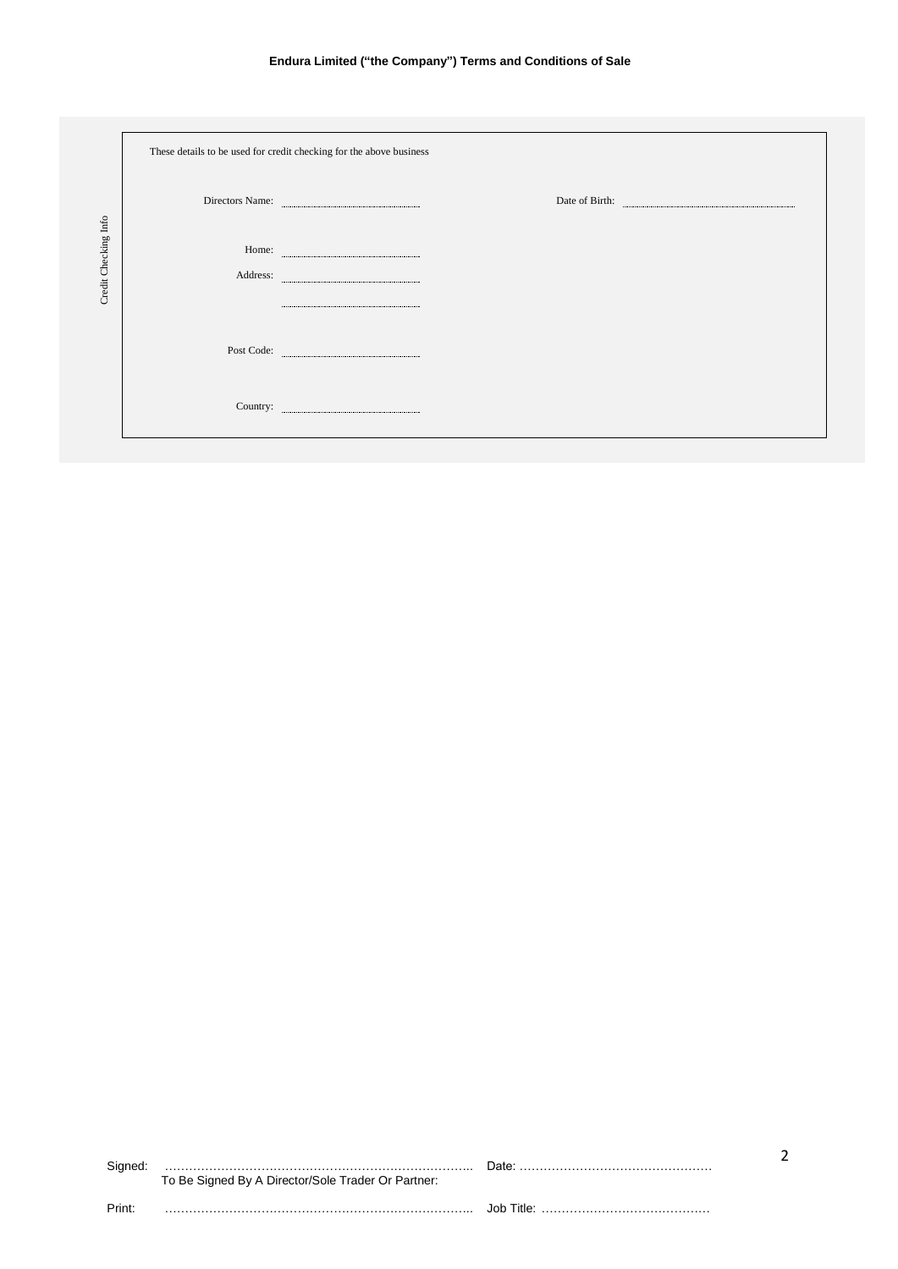|                      | These details to be used for credit checking for the above business |
|----------------------|---------------------------------------------------------------------|
| Credit Checking Info | Directors Name: <b>Example 2018</b>                                 |
|                      |                                                                     |
|                      |                                                                     |
|                      |                                                                     |
|                      |                                                                     |
|                      |                                                                     |

|        | To Be Signed By A Director/Sole Trader Or Partner: |  |
|--------|----------------------------------------------------|--|
| Print: |                                                    |  |

2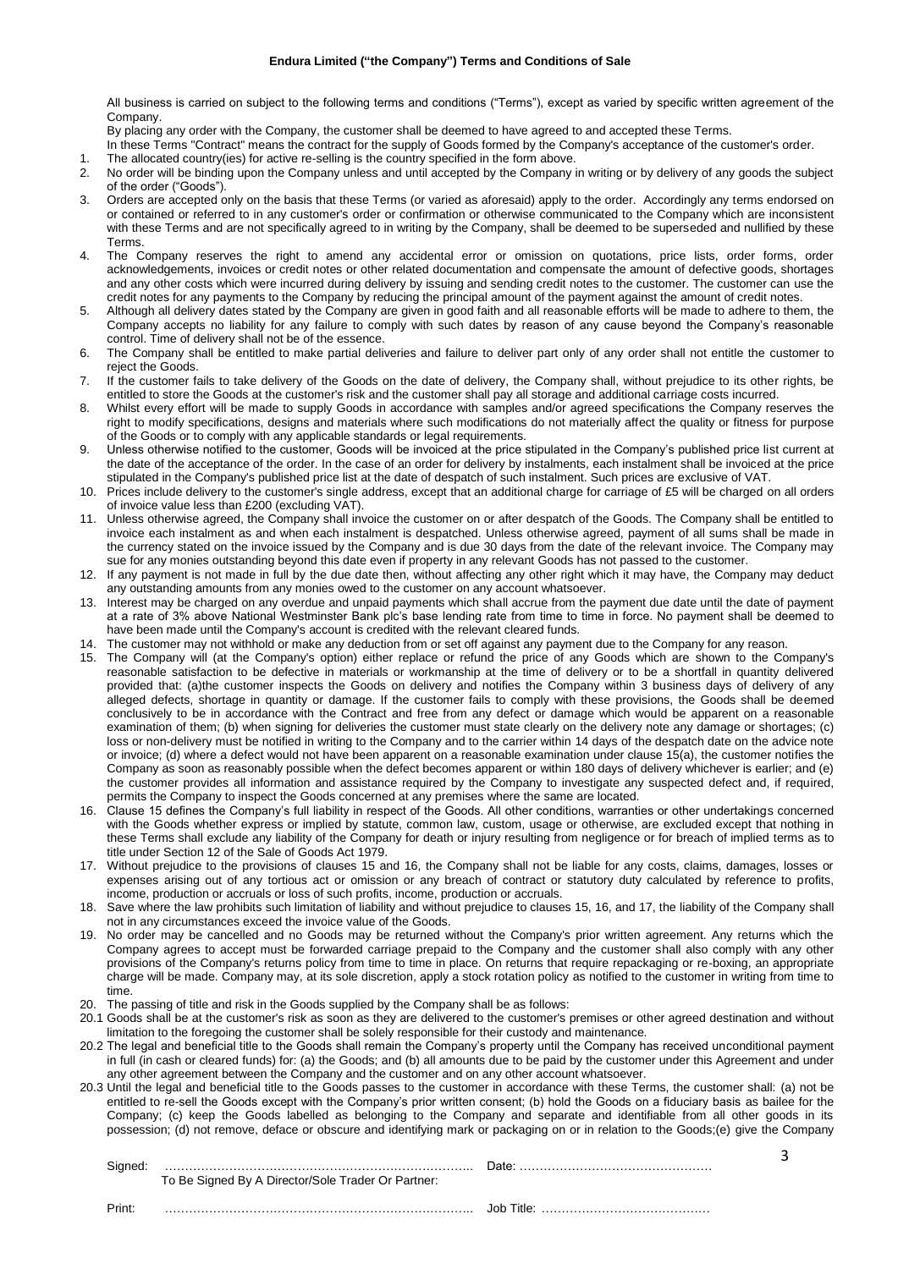All business is carried on subject to the following terms and conditions ("Terms"), except as varied by specific written agreement of the Company.

By placing any order with the Company, the customer shall be deemed to have agreed to and accepted these Terms.

In these Terms "Contract" means the contract for the supply of Goods formed by the Company's acceptance of the customer's order.

- 1. The allocated country(ies) for active re-selling is the country specified in the form above.
- 2. No order will be binding upon the Company unless and until accepted by the Company in writing or by delivery of any goods the subject of the order ("Goods").
- 3. Orders are accepted only on the basis that these Terms (or varied as aforesaid) apply to the order. Accordingly any terms endorsed on or contained or referred to in any customer's order or confirmation or otherwise communicated to the Company which are inconsistent with these Terms and are not specifically agreed to in writing by the Company, shall be deemed to be superseded and nullified by these Terms.
- 4. The Company reserves the right to amend any accidental error or omission on quotations, price lists, order forms, order acknowledgements, invoices or credit notes or other related documentation and compensate the amount of defective goods, shortages and any other costs which were incurred during delivery by issuing and sending credit notes to the customer. The customer can use the credit notes for any payments to the Company by reducing the principal amount of the payment against the amount of credit notes.
- 5. Although all delivery dates stated by the Company are given in good faith and all reasonable efforts will be made to adhere to them, the Company accepts no liability for any failure to comply with such dates by reason of any cause beyond the Company's reasonable control. Time of delivery shall not be of the essence.
- 6. The Company shall be entitled to make partial deliveries and failure to deliver part only of any order shall not entitle the customer to reject the Goods.
- 7. If the customer fails to take delivery of the Goods on the date of delivery, the Company shall, without prejudice to its other rights, be entitled to store the Goods at the customer's risk and the customer shall pay all storage and additional carriage costs incurred.
- 8. Whilst every effort will be made to supply Goods in accordance with samples and/or agreed specifications the Company reserves the right to modify specifications, designs and materials where such modifications do not materially affect the quality or fitness for purpose of the Goods or to comply with any applicable standards or legal requirements.
- 9. Unless otherwise notified to the customer, Goods will be invoiced at the price stipulated in the Company's published price list current at the date of the acceptance of the order. In the case of an order for delivery by instalments, each instalment shall be invoiced at the price stipulated in the Company's published price list at the date of despatch of such instalment. Such prices are exclusive of VAT.
- 10. Prices include delivery to the customer's single address, except that an additional charge for carriage of £5 will be charged on all orders of invoice value less than £200 (excluding VAT).
- 11. Unless otherwise agreed, the Company shall invoice the customer on or after despatch of the Goods. The Company shall be entitled to invoice each instalment as and when each instalment is despatched. Unless otherwise agreed, payment of all sums shall be made in the currency stated on the invoice issued by the Company and is due 30 days from the date of the relevant invoice. The Company may sue for any monies outstanding beyond this date even if property in any relevant Goods has not passed to the customer.
- 12. If any payment is not made in full by the due date then, without affecting any other right which it may have, the Company may deduct any outstanding amounts from any monies owed to the customer on any account whatsoever.
- 13. Interest may be charged on any overdue and unpaid payments which shall accrue from the payment due date until the date of payment at a rate of 3% above National Westminster Bank plc's base lending rate from time to time in force. No payment shall be deemed to have been made until the Company's account is credited with the relevant cleared funds.
- 14. The customer may not withhold or make any deduction from or set off against any payment due to the Company for any reason.
- 15. The Company will (at the Company's option) either replace or refund the price of any Goods which are shown to the Company's reasonable satisfaction to be defective in materials or workmanship at the time of delivery or to be a shortfall in quantity delivered provided that: (a)the customer inspects the Goods on delivery and notifies the Company within 3 business days of delivery of any alleged defects, shortage in quantity or damage. If the customer fails to comply with these provisions, the Goods shall be deemed conclusively to be in accordance with the Contract and free from any defect or damage which would be apparent on a reasonable examination of them; (b) when signing for deliveries the customer must state clearly on the delivery note any damage or shortages; (c) loss or non-delivery must be notified in writing to the Company and to the carrier within 14 days of the despatch date on the advice note or invoice; (d) where a defect would not have been apparent on a reasonable examination under clause 15(a), the customer notifies the Company as soon as reasonably possible when the defect becomes apparent or within 180 days of delivery whichever is earlier; and (e) the customer provides all information and assistance required by the Company to investigate any suspected defect and, if required, permits the Company to inspect the Goods concerned at any premises where the same are located.
- 16. Clause 15 defines the Company's full liability in respect of the Goods. All other conditions, warranties or other undertakings concerned with the Goods whether express or implied by statute, common law, custom, usage or otherwise, are excluded except that nothing in these Terms shall exclude any liability of the Company for death or injury resulting from negligence or for breach of implied terms as to title under Section 12 of the Sale of Goods Act 1979.
- 17. Without prejudice to the provisions of clauses 15 and 16, the Company shall not be liable for any costs, claims, damages, losses or expenses arising out of any tortious act or omission or any breach of contract or statutory duty calculated by reference to profits, income, production or accruals or loss of such profits, income, production or accruals.
- 18. Save where the law prohibits such limitation of liability and without prejudice to clauses 15, 16, and 17, the liability of the Company shall not in any circumstances exceed the invoice value of the Goods.
- 19. No order may be cancelled and no Goods may be returned without the Company's prior written agreement. Any returns which the Company agrees to accept must be forwarded carriage prepaid to the Company and the customer shall also comply with any other provisions of the Company's returns policy from time to time in place. On returns that require repackaging or re-boxing, an appropriate charge will be made. Company may, at its sole discretion, apply a stock rotation policy as notified to the customer in writing from time to time.
- 20. The passing of title and risk in the Goods supplied by the Company shall be as follows:
- 20.1 Goods shall be at the customer's risk as soon as they are delivered to the customer's premises or other agreed destination and without limitation to the foregoing the customer shall be solely responsible for their custody and maintenance.
- 20.2 The legal and beneficial title to the Goods shall remain the Company's property until the Company has received unconditional payment in full (in cash or cleared funds) for: (a) the Goods; and (b) all amounts due to be paid by the customer under this Agreement and under any other agreement between the Company and the customer and on any other account whatsoever.
- 20.3 Until the legal and beneficial title to the Goods passes to the customer in accordance with these Terms, the customer shall: (a) not be entitled to re-sell the Goods except with the Company's prior written consent; (b) hold the Goods on a fiduciary basis as bailee for the Company; (c) keep the Goods labelled as belonging to the Company and separate and identifiable from all other goods in its possession; (d) not remove, deface or obscure and identifying mark or packaging on or in relation to the Goods;(e) give the Company

3

| Signed: | To Be Signed By A Director/Sole Trader Or Partner: |            |
|---------|----------------------------------------------------|------------|
| Print:  |                                                    | Job Title: |